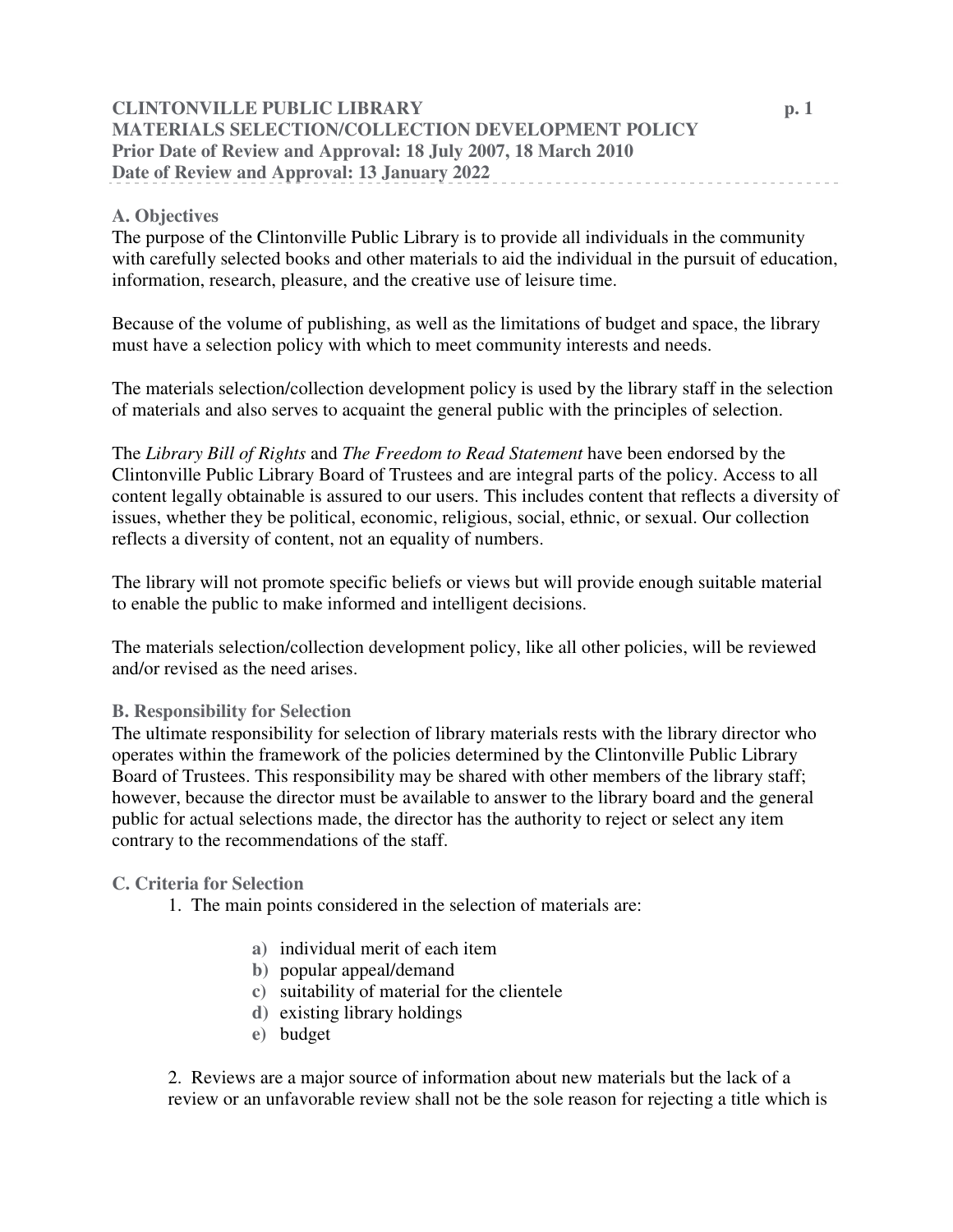# **CLINTONVILLE PUBLIC LIBRARY p. 1 MATERIALS SELECTION/COLLECTION DEVELOPMENT POLICY Prior Date of Review and Approval: 18 July 2007, 18 March 2010 Date of Review and Approval: 13 January 2022**

## **A. Objectives**

The purpose of the Clintonville Public Library is to provide all individuals in the community with carefully selected books and other materials to aid the individual in the pursuit of education, information, research, pleasure, and the creative use of leisure time.

Because of the volume of publishing, as well as the limitations of budget and space, the library must have a selection policy with which to meet community interests and needs.

The materials selection/collection development policy is used by the library staff in the selection of materials and also serves to acquaint the general public with the principles of selection.

The *Library Bill of Rights* and *The Freedom to Read Statement* have been endorsed by the Clintonville Public Library Board of Trustees and are integral parts of the policy. Access to all content legally obtainable is assured to our users. This includes content that reflects a diversity of issues, whether they be political, economic, religious, social, ethnic, or sexual. Our collection reflects a diversity of content, not an equality of numbers.

The library will not promote specific beliefs or views but will provide enough suitable material to enable the public to make informed and intelligent decisions.

The materials selection/collection development policy, like all other policies, will be reviewed and/or revised as the need arises.

#### **B. Responsibility for Selection**

The ultimate responsibility for selection of library materials rests with the library director who operates within the framework of the policies determined by the Clintonville Public Library Board of Trustees. This responsibility may be shared with other members of the library staff; however, because the director must be available to answer to the library board and the general public for actual selections made, the director has the authority to reject or select any item contrary to the recommendations of the staff.

#### **C. Criteria for Selection**

- 1. The main points considered in the selection of materials are:
	- **a)** individual merit of each item
	- **b)** popular appeal/demand
	- **c)** suitability of material for the clientele
	- **d)** existing library holdings
	- **e)** budget

2. Reviews are a major source of information about new materials but the lack of a review or an unfavorable review shall not be the sole reason for rejecting a title which is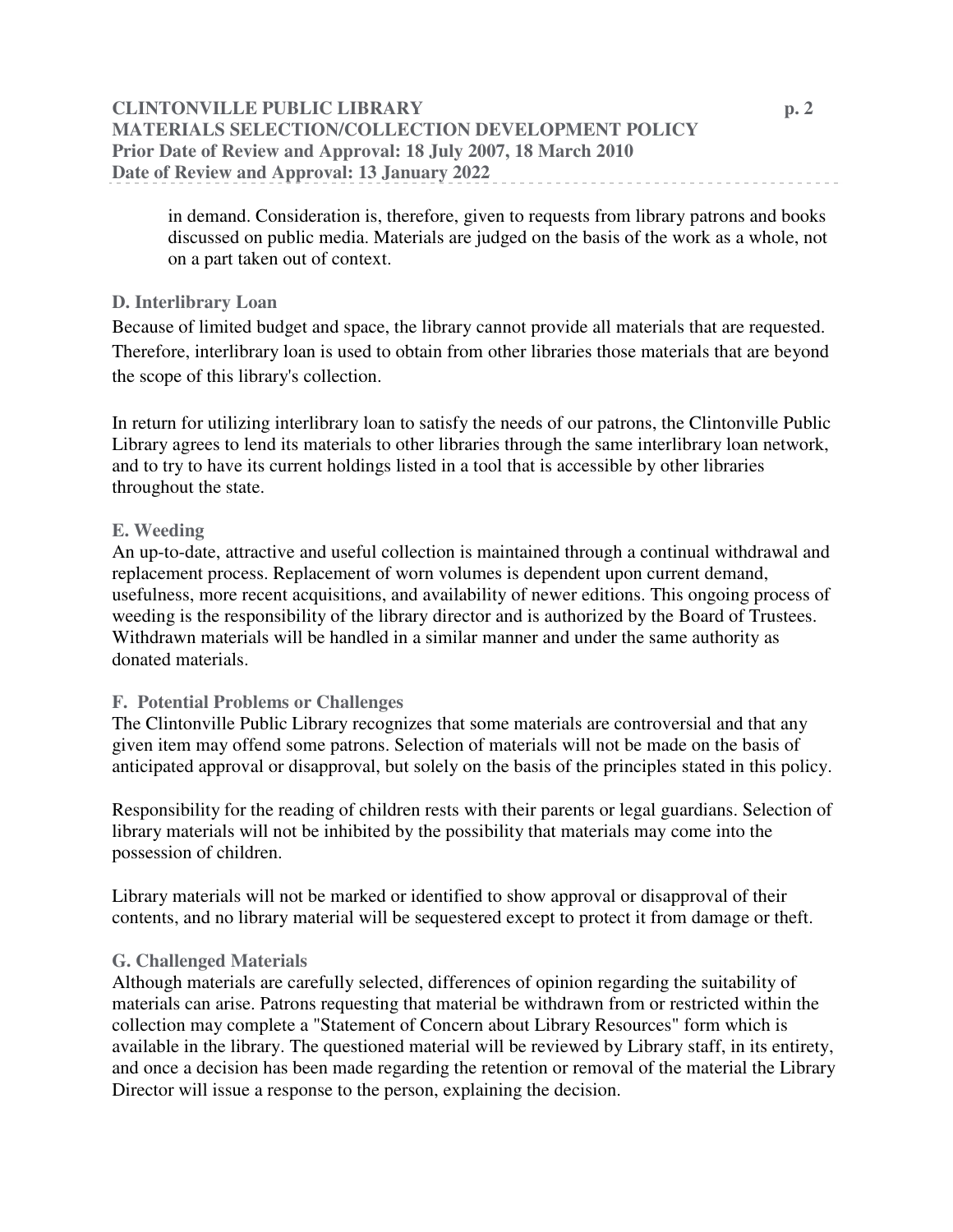# **CLINTONVILLE PUBLIC LIBRARY p. 2 MATERIALS SELECTION/COLLECTION DEVELOPMENT POLICY Prior Date of Review and Approval: 18 July 2007, 18 March 2010 Date of Review and Approval: 13 January 2022**

in demand. Consideration is, therefore, given to requests from library patrons and books discussed on public media. Materials are judged on the basis of the work as a whole, not on a part taken out of context.

## **D. Interlibrary Loan**

Because of limited budget and space, the library cannot provide all materials that are requested. Therefore, interlibrary loan is used to obtain from other libraries those materials that are beyond the scope of this library's collection.

In return for utilizing interlibrary loan to satisfy the needs of our patrons, the Clintonville Public Library agrees to lend its materials to other libraries through the same interlibrary loan network, and to try to have its current holdings listed in a tool that is accessible by other libraries throughout the state.

## **E. Weeding**

An up-to-date, attractive and useful collection is maintained through a continual withdrawal and replacement process. Replacement of worn volumes is dependent upon current demand, usefulness, more recent acquisitions, and availability of newer editions. This ongoing process of weeding is the responsibility of the library director and is authorized by the Board of Trustees. Withdrawn materials will be handled in a similar manner and under the same authority as donated materials.

## **F. Potential Problems or Challenges**

The Clintonville Public Library recognizes that some materials are controversial and that any given item may offend some patrons. Selection of materials will not be made on the basis of anticipated approval or disapproval, but solely on the basis of the principles stated in this policy.

Responsibility for the reading of children rests with their parents or legal guardians. Selection of library materials will not be inhibited by the possibility that materials may come into the possession of children.

Library materials will not be marked or identified to show approval or disapproval of their contents, and no library material will be sequestered except to protect it from damage or theft.

#### **G. Challenged Materials**

Although materials are carefully selected, differences of opinion regarding the suitability of materials can arise. Patrons requesting that material be withdrawn from or restricted within the collection may complete a "Statement of Concern about Library Resources" form which is available in the library. The questioned material will be reviewed by Library staff, in its entirety, and once a decision has been made regarding the retention or removal of the material the Library Director will issue a response to the person, explaining the decision.